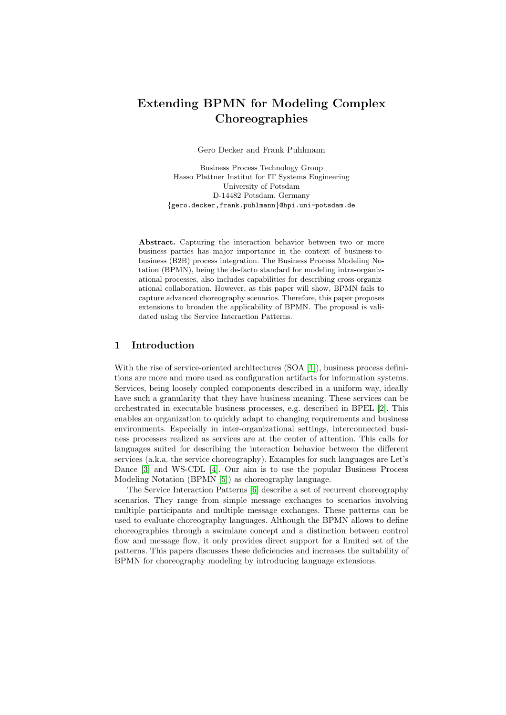# Extending BPMN for Modeling Complex Choreographies

Gero Decker and Frank Puhlmann

Business Process Technology Group Hasso Plattner Institut for IT Systems Engineering University of Potsdam D-14482 Potsdam, Germany {gero.decker,frank.puhlmann}@hpi.uni-potsdam.de

Abstract. Capturing the interaction behavior between two or more business parties has major importance in the context of business-tobusiness (B2B) process integration. The Business Process Modeling Notation (BPMN), being the de-facto standard for modeling intra-organizational processes, also includes capabilities for describing cross-organizational collaboration. However, as this paper will show, BPMN fails to capture advanced choreography scenarios. Therefore, this paper proposes extensions to broaden the applicability of BPMN. The proposal is validated using the Service Interaction Patterns.

# 1 Introduction

With the rise of service-oriented architectures (SOA [\[1\]](#page-15-0)), business process definitions are more and more used as configuration artifacts for information systems. Services, being loosely coupled components described in a uniform way, ideally have such a granularity that they have business meaning. These services can be orchestrated in executable business processes, e.g. described in BPEL [\[2\]](#page-15-1). This enables an organization to quickly adapt to changing requirements and business environments. Especially in inter-organizational settings, interconnected business processes realized as services are at the center of attention. This calls for languages suited for describing the interaction behavior between the different services (a.k.a. the service choreography). Examples for such languages are Let's Dance [\[3\]](#page-15-2) and WS-CDL [\[4\]](#page-15-3). Our aim is to use the popular Business Process Modeling Notation (BPMN [\[5\]](#page-15-4)) as choreography language.

The Service Interaction Patterns [\[6\]](#page-15-5) describe a set of recurrent choreography scenarios. They range from simple message exchanges to scenarios involving multiple participants and multiple message exchanges. These patterns can be used to evaluate choreography languages. Although the BPMN allows to define choreographies through a swimlane concept and a distinction between control flow and message flow, it only provides direct support for a limited set of the patterns. This papers discusses these deficiencies and increases the suitability of BPMN for choreography modeling by introducing language extensions.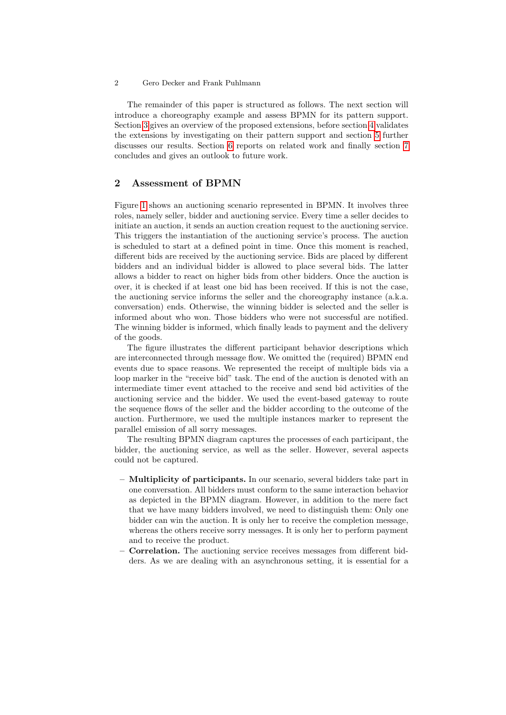The remainder of this paper is structured as follows. The next section will introduce a choreography example and assess BPMN for its pattern support. Section [3](#page-3-0) gives an overview of the proposed extensions, before section [4](#page-7-0) validates the extensions by investigating on their pattern support and section [5](#page-12-0) further discusses our results. Section [6](#page-14-0) reports on related work and finally section [7](#page-14-1) concludes and gives an outlook to future work.

## 2 Assessment of BPMN

Figure [1](#page-2-0) shows an auctioning scenario represented in BPMN. It involves three roles, namely seller, bidder and auctioning service. Every time a seller decides to initiate an auction, it sends an auction creation request to the auctioning service. This triggers the instantiation of the auctioning service's process. The auction is scheduled to start at a defined point in time. Once this moment is reached, different bids are received by the auctioning service. Bids are placed by different bidders and an individual bidder is allowed to place several bids. The latter allows a bidder to react on higher bids from other bidders. Once the auction is over, it is checked if at least one bid has been received. If this is not the case, the auctioning service informs the seller and the choreography instance (a.k.a. conversation) ends. Otherwise, the winning bidder is selected and the seller is informed about who won. Those bidders who were not successful are notified. The winning bidder is informed, which finally leads to payment and the delivery of the goods.

The figure illustrates the different participant behavior descriptions which are interconnected through message flow. We omitted the (required) BPMN end events due to space reasons. We represented the receipt of multiple bids via a loop marker in the "receive bid" task. The end of the auction is denoted with an intermediate timer event attached to the receive and send bid activities of the auctioning service and the bidder. We used the event-based gateway to route the sequence flows of the seller and the bidder according to the outcome of the auction. Furthermore, we used the multiple instances marker to represent the parallel emission of all sorry messages.

The resulting BPMN diagram captures the processes of each participant, the bidder, the auctioning service, as well as the seller. However, several aspects could not be captured.

- Multiplicity of participants. In our scenario, several bidders take part in one conversation. All bidders must conform to the same interaction behavior as depicted in the BPMN diagram. However, in addition to the mere fact that we have many bidders involved, we need to distinguish them: Only one bidder can win the auction. It is only her to receive the completion message, whereas the others receive sorry messages. It is only her to perform payment and to receive the product.
- Correlation. The auctioning service receives messages from different bidders. As we are dealing with an asynchronous setting, it is essential for a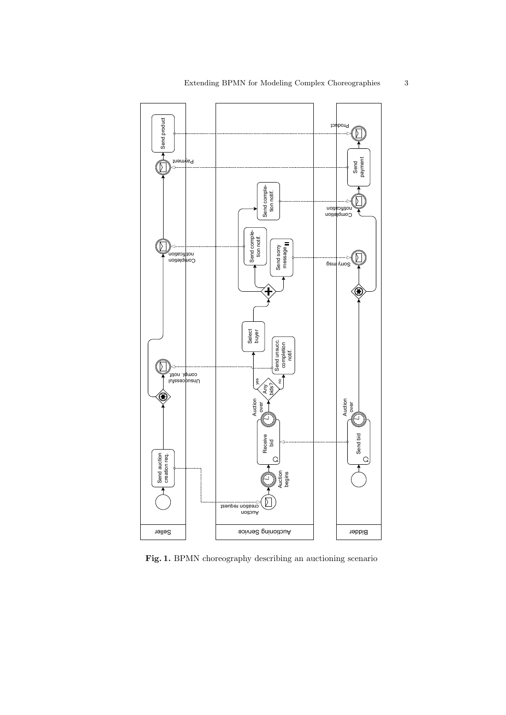

<span id="page-2-0"></span>Fig. 1. BPMN choreography describing an auctioning scenario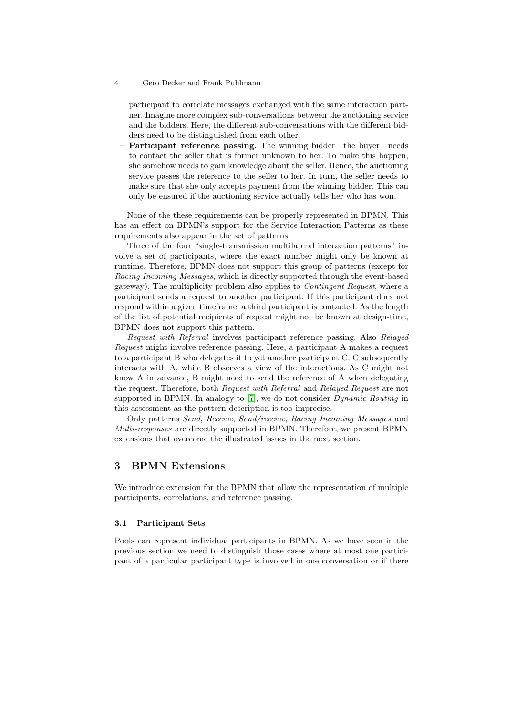participant to correlate messages exchanged with the same interaction partner. Imagine more complex sub-conversations between the auctioning service and the bidders. Here, the different sub-conversations with the different bidders need to be distinguished from each other.

– Participant reference passing. The winning bidder—the buyer—needs to contact the seller that is former unknown to her. To make this happen, she somehow needs to gain knowledge about the seller. Hence, the auctioning service passes the reference to the seller to her. In turn, the seller needs to make sure that she only accepts payment from the winning bidder. This can only be ensured if the auctioning service actually tells her who has won.

None of the these requirements can be properly represented in BPMN. This has an effect on BPMN's support for the Service Interaction Patterns as these requirements also appear in the set of patterns.

Three of the four "single-transmission multilateral interaction patterns" involve a set of participants, where the exact number might only be known at runtime. Therefore, BPMN does not support this group of patterns (except for Racing Incoming Messages, which is directly supported through the event-based gateway). The multiplicity problem also applies to Contingent Request, where a participant sends a request to another participant. If this participant does not respond within a given timeframe, a third participant is contacted. As the length of the list of potential recipients of request might not be known at design-time, BPMN does not support this pattern.

Request with Referral involves participant reference passing. Also Relayed Request might involve reference passing. Here, a participant A makes a request to a participant B who delegates it to yet another participant C. C subsequently interacts with A, while B observes a view of the interactions. As C might not know A in advance, B might need to send the reference of A when delegating the request. Therefore, both Request with Referral and Relayed Request are not supported in BPMN. In analogy to  $[7]$ , we do not consider *Dynamic Routing* in this assessment as the pattern description is too imprecise.

Only patterns Send, Receive, Send/receive, Racing Incoming Messages and Multi-responses are directly supported in BPMN. Therefore, we present BPMN extensions that overcome the illustrated issues in the next section.

## <span id="page-3-0"></span>3 BPMN Extensions

We introduce extension for the BPMN that allow the representation of multiple participants, correlations, and reference passing.

## 3.1 Participant Sets

Pools can represent individual participants in BPMN. As we have seen in the previous section we need to distinguish those cases where at most one participant of a particular participant type is involved in one conversation or if there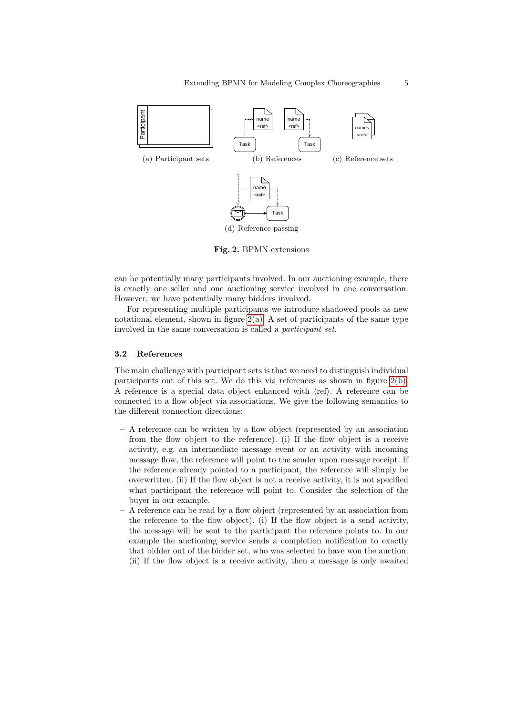<span id="page-4-0"></span>

<span id="page-4-3"></span><span id="page-4-2"></span><span id="page-4-1"></span>Fig. 2. BPMN extensions

can be potentially many participants involved. In our auctioning example, there is exactly one seller and one auctioning service involved in one conversation. However, we have potentially many bidders involved.

For representing multiple participants we introduce shadowed pools as new notational element, shown in figure  $2(a)$ . A set of participants of the same type involved in the same conversation is called a participant set.

#### <span id="page-4-4"></span>3.2 References

The main challenge with participant sets is that we need to distinguish individual participants out of this set. We do this via references as shown in figure  $2(b)$ . A reference is a special data object enhanced with  $\langle ref \rangle$ . A reference can be connected to a flow object via associations. We give the following semantics to the different connection directions:

- A reference can be written by a flow object (represented by an association from the flow object to the reference). (i) If the flow object is a receive activity, e.g. an intermediate message event or an activity with incoming message flow, the reference will point to the sender upon message receipt. If the reference already pointed to a participant, the reference will simply be overwritten. (ii) If the flow object is not a receive activity, it is not specified what participant the reference will point to. Consider the selection of the buyer in our example.
- A reference can be read by a flow object (represented by an association from the reference to the flow object). (i) If the flow object is a send activity, the message will be sent to the participant the reference points to. In our example the auctioning service sends a completion notification to exactly that bidder out of the bidder set, who was selected to have won the auction. (ii) If the flow object is a receive activity, then a message is only awaited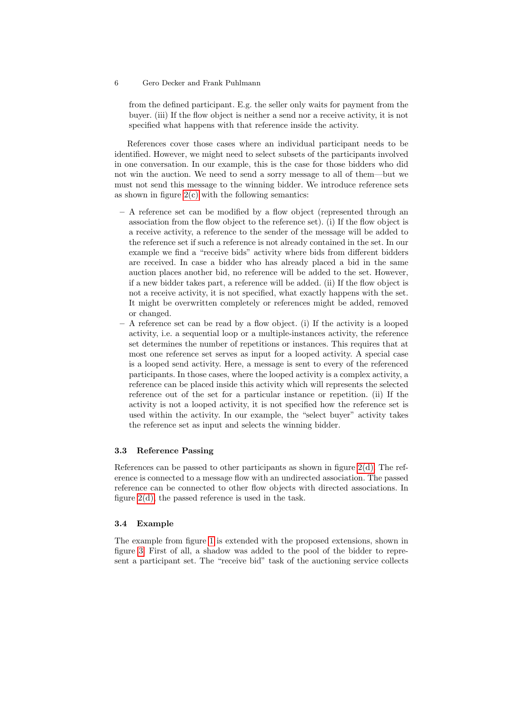from the defined participant. E.g. the seller only waits for payment from the buyer. (iii) If the flow object is neither a send nor a receive activity, it is not specified what happens with that reference inside the activity.

References cover those cases where an individual participant needs to be identified. However, we might need to select subsets of the participants involved in one conversation. In our example, this is the case for those bidders who did not win the auction. We need to send a sorry message to all of them—but we must not send this message to the winning bidder. We introduce reference sets as shown in figure  $2(c)$  with the following semantics:

- A reference set can be modified by a flow object (represented through an association from the flow object to the reference set). (i) If the flow object is a receive activity, a reference to the sender of the message will be added to the reference set if such a reference is not already contained in the set. In our example we find a "receive bids" activity where bids from different bidders are received. In case a bidder who has already placed a bid in the same auction places another bid, no reference will be added to the set. However, if a new bidder takes part, a reference will be added. (ii) If the flow object is not a receive activity, it is not specified, what exactly happens with the set. It might be overwritten completely or references might be added, removed or changed.
- A reference set can be read by a flow object. (i) If the activity is a looped activity, i.e. a sequential loop or a multiple-instances activity, the reference set determines the number of repetitions or instances. This requires that at most one reference set serves as input for a looped activity. A special case is a looped send activity. Here, a message is sent to every of the referenced participants. In those cases, where the looped activity is a complex activity, a reference can be placed inside this activity which will represents the selected reference out of the set for a particular instance or repetition. (ii) If the activity is not a looped activity, it is not specified how the reference set is used within the activity. In our example, the "select buyer" activity takes the reference set as input and selects the winning bidder.

## 3.3 Reference Passing

References can be passed to other participants as shown in figure  $2(d)$ . The reference is connected to a message flow with an undirected association. The passed reference can be connected to other flow objects with directed associations. In figure  $2(d)$ , the passed reference is used in the task.

## 3.4 Example

The example from figure [1](#page-2-0) is extended with the proposed extensions, shown in figure [3.](#page-6-0) First of all, a shadow was added to the pool of the bidder to represent a participant set. The "receive bid" task of the auctioning service collects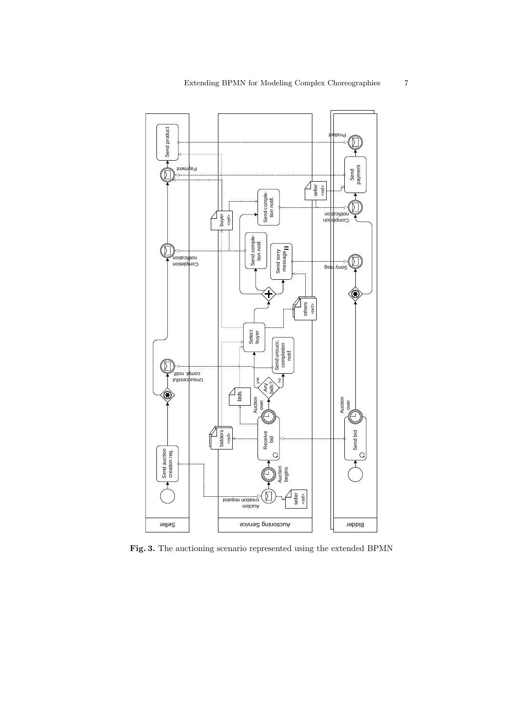

<span id="page-6-0"></span>Fig. 3. The auctioning scenario represented using the extended BPMN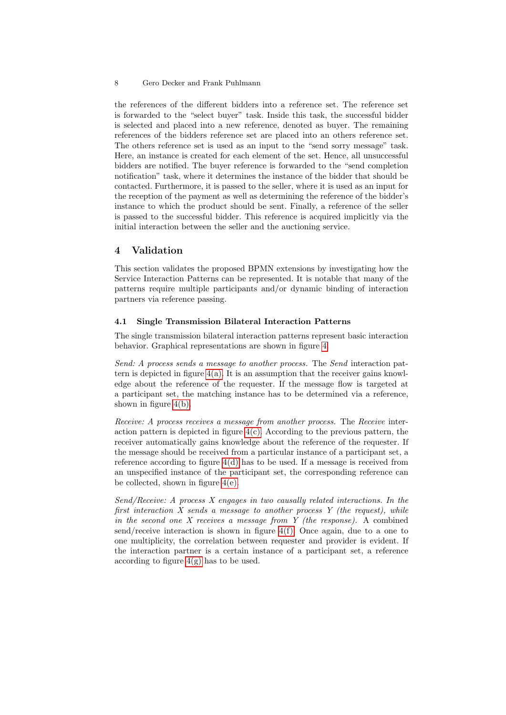the references of the different bidders into a reference set. The reference set is forwarded to the "select buyer" task. Inside this task, the successful bidder is selected and placed into a new reference, denoted as buyer. The remaining references of the bidders reference set are placed into an others reference set. The others reference set is used as an input to the "send sorry message" task. Here, an instance is created for each element of the set. Hence, all unsuccessful bidders are notified. The buyer reference is forwarded to the "send completion notification" task, where it determines the instance of the bidder that should be contacted. Furthermore, it is passed to the seller, where it is used as an input for the reception of the payment as well as determining the reference of the bidder's instance to which the product should be sent. Finally, a reference of the seller is passed to the successful bidder. This reference is acquired implicitly via the initial interaction between the seller and the auctioning service.

# <span id="page-7-0"></span>4 Validation

This section validates the proposed BPMN extensions by investigating how the Service Interaction Patterns can be represented. It is notable that many of the patterns require multiple participants and/or dynamic binding of interaction partners via reference passing.

# 4.1 Single Transmission Bilateral Interaction Patterns

The single transmission bilateral interaction patterns represent basic interaction behavior. Graphical representations are shown in figure [4.](#page-8-0)

Send: A process sends a message to another process. The Send interaction pattern is depicted in figure  $4(a)$ . It is an assumption that the receiver gains knowledge about the reference of the requester. If the message flow is targeted at a participant set, the matching instance has to be determined via a reference, shown in figure  $4(b)$ .

Receive: A process receives a message from another process. The Receive interaction pattern is depicted in figure  $4(c)$ . According to the previous pattern, the receiver automatically gains knowledge about the reference of the requester. If the message should be received from a particular instance of a participant set, a reference according to figure [4\(d\)](#page-8-4) has to be used. If a message is received from an unspecified instance of the participant set, the corresponding reference can be collected, shown in figure  $4(e)$ .

Send/Receive: A process X engages in two causally related interactions. In the first interaction  $X$  sends a message to another process  $Y$  (the request), while in the second one  $X$  receives a message from  $Y$  (the response). A combined send/receive interaction is shown in figure  $4(f)$ . Once again, due to a one to one multiplicity, the correlation between requester and provider is evident. If the interaction partner is a certain instance of a participant set, a reference according to figure  $4(g)$  has to be used.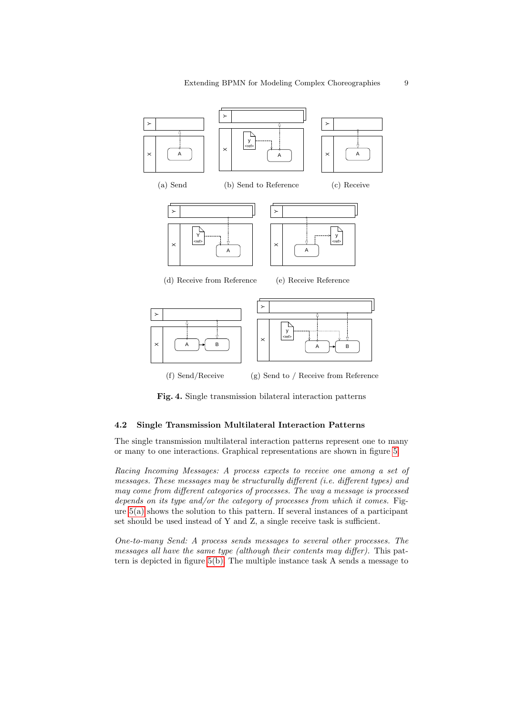<span id="page-8-3"></span><span id="page-8-2"></span><span id="page-8-1"></span>

<span id="page-8-7"></span><span id="page-8-6"></span><span id="page-8-5"></span><span id="page-8-4"></span><span id="page-8-0"></span>(f) Send/Receive (g) Send to / Receive from Reference

Fig. 4. Single transmission bilateral interaction patterns

# 4.2 Single Transmission Multilateral Interaction Patterns

The single transmission multilateral interaction patterns represent one to many or many to one interactions. Graphical representations are shown in figure [5.](#page-9-0)

Racing Incoming Messages: A process expects to receive one among a set of messages. These messages may be structurally different (i.e. different types) and may come from different categories of processes. The way a message is processed depends on its type and/or the category of processes from which it comes. Figure [5\(a\)](#page-9-1) shows the solution to this pattern. If several instances of a participant set should be used instead of Y and Z, a single receive task is sufficient.

One-to-many Send: A process sends messages to several other processes. The messages all have the same type (although their contents may differ). This pattern is depicted in figure [5\(b\).](#page-9-2) The multiple instance task A sends a message to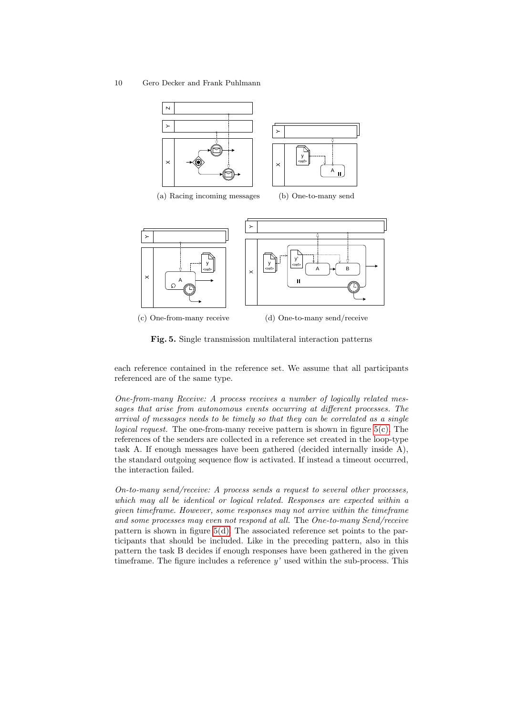<span id="page-9-1"></span>

<span id="page-9-2"></span>(a) Racing incoming messages (b) One-to-many send



<span id="page-9-3"></span>(c) One-from-many receive (d) One-to-many send/receive

<span id="page-9-4"></span><span id="page-9-0"></span>Fig. 5. Single transmission multilateral interaction patterns

each reference contained in the reference set. We assume that all participants referenced are of the same type.

One-from-many Receive: A process receives a number of logically related messages that arise from autonomous events occurring at different processes. The arrival of messages needs to be timely so that they can be correlated as a single logical request. The one-from-many receive pattern is shown in figure  $5(c)$ . The references of the senders are collected in a reference set created in the loop-type task A. If enough messages have been gathered (decided internally inside A), the standard outgoing sequence flow is activated. If instead a timeout occurred, the interaction failed.

On-to-many send/receive: A process sends a request to several other processes, which may all be identical or logical related. Responses are expected within a given timeframe. However, some responses may not arrive within the timeframe and some processes may even not respond at all. The One-to-many Send/receive pattern is shown in figure [5\(d\).](#page-9-4) The associated reference set points to the participants that should be included. Like in the preceding pattern, also in this pattern the task B decides if enough responses have been gathered in the given timeframe. The figure includes a reference  $y'$  used within the sub-process. This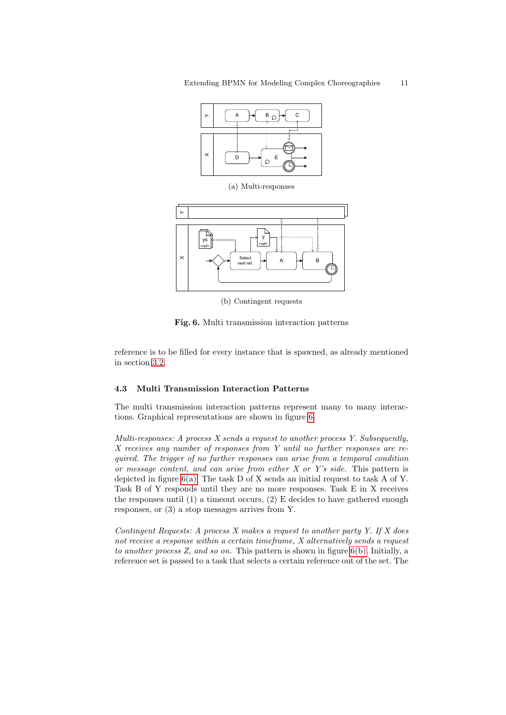<span id="page-10-1"></span>

(a) Multi-responses



<span id="page-10-0"></span>(b) Contingent requests

<span id="page-10-2"></span>Fig. 6. Multi transmission interaction patterns

reference is to be filled for every instance that is spawned, as already mentioned in section [3.2.](#page-4-4)

## 4.3 Multi Transmission Interaction Patterns

The multi transmission interaction patterns represent many to many interactions. Graphical representations are shown in figure [6.](#page-10-0)

Multi-responses: A process  $X$  sends a request to another process  $Y$ . Subsequently, X receives any number of responses from Y until no further responses are required. The trigger of no further responses can arise from a temporal condition or message content, and can arise from either  $X$  or  $Y$ 's side. This pattern is depicted in figure  $6(a)$ . The task D of X sends an initial request to task A of Y. Task B of Y responds until they are no more responses. Task E in X receives the responses until (1) a timeout occurs, (2) E decides to have gathered enough responses, or (3) a stop messages arrives from Y.

Contingent Requests: A process X makes a request to another party Y. If X does not receive a response within a certain timeframe, X alternatively sends a request to another process Z, and so on. This pattern is shown in figure [6\(b\).](#page-10-2) Initially, a reference set is passed to a task that selects a certain reference out of the set. The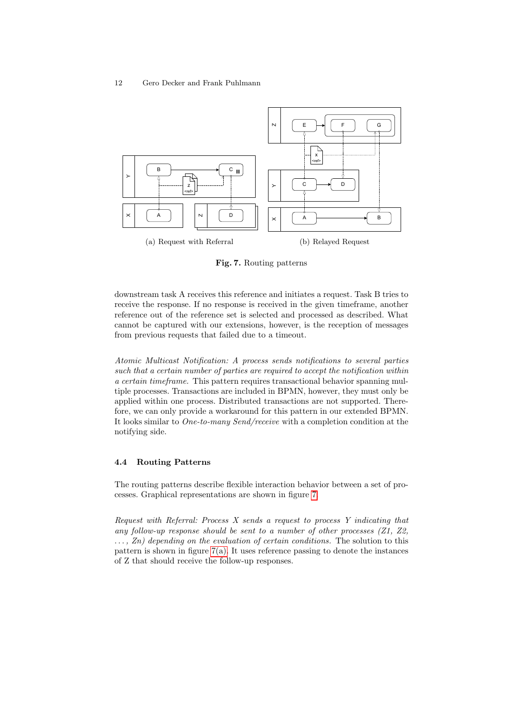<span id="page-11-1"></span>

<span id="page-11-2"></span><span id="page-11-0"></span>Fig. 7. Routing patterns

downstream task A receives this reference and initiates a request. Task B tries to receive the response. If no response is received in the given timeframe, another reference out of the reference set is selected and processed as described. What cannot be captured with our extensions, however, is the reception of messages from previous requests that failed due to a timeout.

Atomic Multicast Notification: A process sends notifications to several parties such that a certain number of parties are required to accept the notification within a certain timeframe. This pattern requires transactional behavior spanning multiple processes. Transactions are included in BPMN, however, they must only be applied within one process. Distributed transactions are not supported. Therefore, we can only provide a workaround for this pattern in our extended BPMN. It looks similar to One-to-many Send/receive with a completion condition at the notifying side.

#### 4.4 Routing Patterns

The routing patterns describe flexible interaction behavior between a set of processes. Graphical representations are shown in figure [7.](#page-11-0)

Request with Referral: Process X sends a request to process Y indicating that any follow-up response should be sent to a number of other processes  $(Z1, Z2, Z3)$  $\ldots$ , Zn) depending on the evaluation of certain conditions. The solution to this pattern is shown in figure  $7(a)$ . It uses reference passing to denote the instances of Z that should receive the follow-up responses.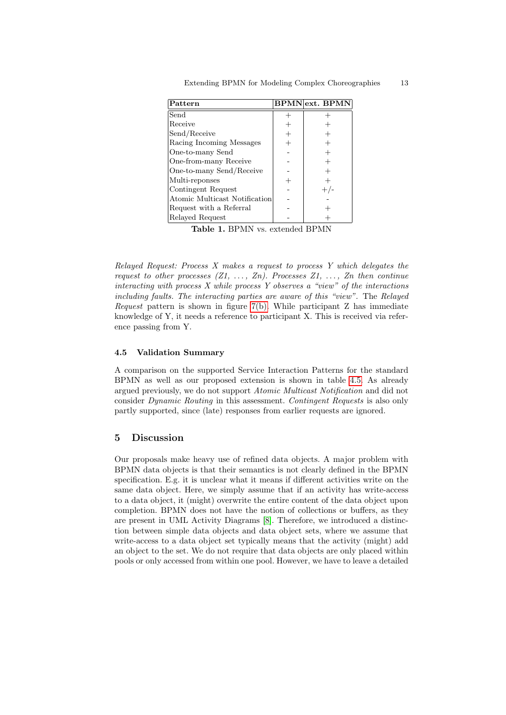| Pattern                       | <b>BPMN</b> ext. BPMN |
|-------------------------------|-----------------------|
| Send                          |                       |
| Receive                       |                       |
| Send/Receive                  |                       |
| Racing Incoming Messages      |                       |
| One-to-many Send              |                       |
| One-from-many Receive         |                       |
| One-to-many Send/Receive      |                       |
| Multi-reponses                |                       |
| Contingent Request            |                       |
| Atomic Multicast Notification |                       |
| Request with a Referral       |                       |
| Relayed Request               |                       |

Extending BPMN for Modeling Complex Choreographies 13

Table 1. BPMN vs. extended BPMN

Relayed Request: Process X makes a request to process Y which delegates the request to other processes  $(Z1, \ldots, Zn)$ . Processes  $Z1, \ldots, Zn$  then continue interacting with process  $X$  while process  $Y$  observes a "view" of the interactions including faults. The interacting parties are aware of this "view". The Relayed Request pattern is shown in figure [7\(b\).](#page-11-2) While participant Z has immediate knowledge of Y, it needs a reference to participant X. This is received via reference passing from Y.

## <span id="page-12-1"></span>4.5 Validation Summary

A comparison on the supported Service Interaction Patterns for the standard BPMN as well as our proposed extension is shown in table [4.5.](#page-12-1) As already argued previously, we do not support Atomic Multicast Notification and did not consider Dynamic Routing in this assessment. Contingent Requests is also only partly supported, since (late) responses from earlier requests are ignored.

## <span id="page-12-0"></span>5 Discussion

Our proposals make heavy use of refined data objects. A major problem with BPMN data objects is that their semantics is not clearly defined in the BPMN specification. E.g. it is unclear what it means if different activities write on the same data object. Here, we simply assume that if an activity has write-access to a data object, it (might) overwrite the entire content of the data object upon completion. BPMN does not have the notion of collections or buffers, as they are present in UML Activity Diagrams [\[8\]](#page-15-7). Therefore, we introduced a distinction between simple data objects and data object sets, where we assume that write-access to a data object set typically means that the activity (might) add an object to the set. We do not require that data objects are only placed within pools or only accessed from within one pool. However, we have to leave a detailed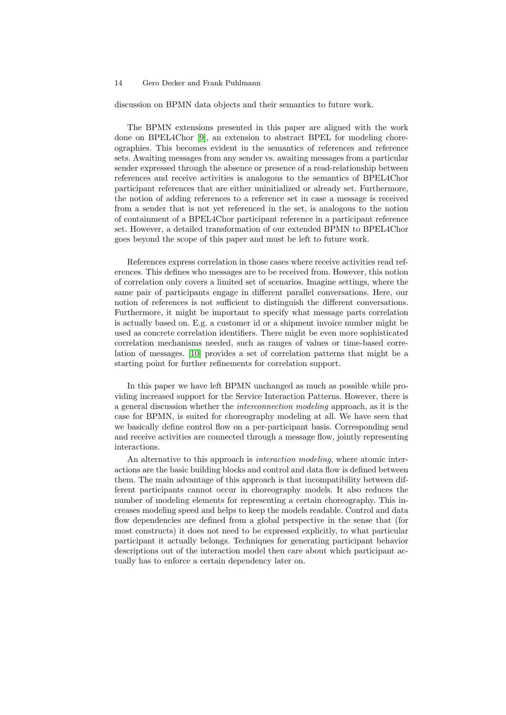discussion on BPMN data objects and their semantics to future work.

The BPMN extensions presented in this paper are aligned with the work done on BPEL4Chor [\[9\]](#page-15-8), an extension to abstract BPEL for modeling choreographies. This becomes evident in the semantics of references and reference sets. Awaiting messages from any sender vs. awaiting messages from a particular sender expressed through the absence or presence of a read-relationship between references and receive activities is analogous to the semantics of BPEL4Chor participant references that are either uninitialized or already set. Furthermore, the notion of adding references to a reference set in case a message is received from a sender that is not yet referenced in the set, is analogous to the notion of containment of a BPEL4Chor participant reference in a participant reference set. However, a detailed transformation of our extended BPMN to BPEL4Chor goes beyond the scope of this paper and must be left to future work.

References express correlation in those cases where receive activities read references. This defines who messages are to be received from. However, this notion of correlation only covers a limited set of scenarios. Imagine settings, where the same pair of participants engage in different parallel conversations. Here, our notion of references is not sufficient to distinguish the different conversations. Furthermore, it might be important to specify what message parts correlation is actually based on. E.g. a customer id or a shipment invoice number might be used as concrete correlation identifiers. There might be even more sophisticated correlation mechanisms needed, such as ranges of values or time-based correlation of messages. [\[10\]](#page-15-9) provides a set of correlation patterns that might be a starting point for further refinements for correlation support.

In this paper we have left BPMN unchanged as much as possible while providing increased support for the Service Interaction Patterns. However, there is a general discussion whether the interconnection modeling approach, as it is the case for BPMN, is suited for choreography modeling at all. We have seen that we basically define control flow on a per-participant basis. Corresponding send and receive activities are connected through a message flow, jointly representing interactions.

An alternative to this approach is *interaction modeling*, where atomic interactions are the basic building blocks and control and data flow is defined between them. The main advantage of this approach is that incompatibility between different participants cannot occur in choreography models. It also reduces the number of modeling elements for representing a certain choreography. This increases modeling speed and helps to keep the models readable. Control and data flow dependencies are defined from a global perspective in the sense that (for most constructs) it does not need to be expressed explicitly, to what particular participant it actually belongs. Techniques for generating participant behavior descriptions out of the interaction model then care about which participant actually has to enforce a certain dependency later on.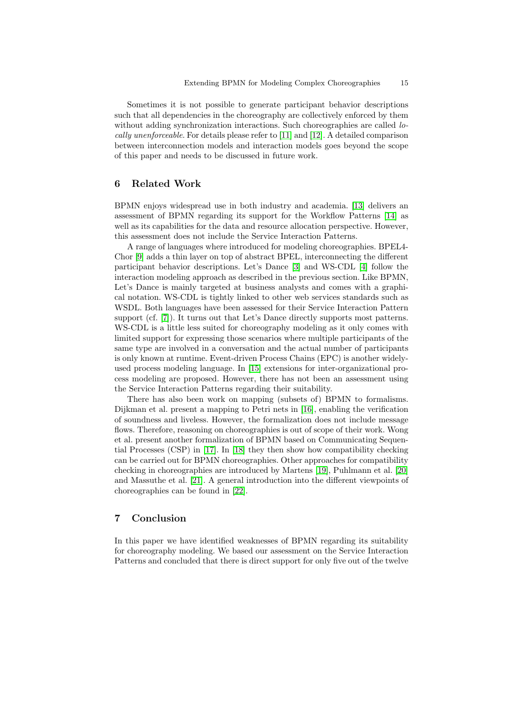Sometimes it is not possible to generate participant behavior descriptions such that all dependencies in the choreography are collectively enforced by them without adding synchronization interactions. Such choreographies are called *lo*cally unenforceable. For details please refer to [\[11\]](#page-15-10) and [\[12\]](#page-15-11). A detailed comparison between interconnection models and interaction models goes beyond the scope of this paper and needs to be discussed in future work.

# <span id="page-14-0"></span>6 Related Work

BPMN enjoys widespread use in both industry and academia. [\[13\]](#page-15-12) delivers an assessment of BPMN regarding its support for the Workflow Patterns [\[14\]](#page-16-0) as well as its capabilities for the data and resource allocation perspective. However, this assessment does not include the Service Interaction Patterns.

A range of languages where introduced for modeling choreographies. BPEL4- Chor [\[9\]](#page-15-8) adds a thin layer on top of abstract BPEL, interconnecting the different participant behavior descriptions. Let's Dance [\[3\]](#page-15-2) and WS-CDL [\[4\]](#page-15-3) follow the interaction modeling approach as described in the previous section. Like BPMN, Let's Dance is mainly targeted at business analysts and comes with a graphical notation. WS-CDL is tightly linked to other web services standards such as WSDL. Both languages have been assessed for their Service Interaction Pattern support (cf. [\[7\]](#page-15-6)). It turns out that Let's Dance directly supports most patterns. WS-CDL is a little less suited for choreography modeling as it only comes with limited support for expressing those scenarios where multiple participants of the same type are involved in a conversation and the actual number of participants is only known at runtime. Event-driven Process Chains (EPC) is another widelyused process modeling language. In [\[15\]](#page-16-1) extensions for inter-organizational process modeling are proposed. However, there has not been an assessment using the Service Interaction Patterns regarding their suitability.

There has also been work on mapping (subsets of) BPMN to formalisms. Dijkman et al. present a mapping to Petri nets in [\[16\]](#page-16-2), enabling the verification of soundness and liveless. However, the formalization does not include message flows. Therefore, reasoning on choreographies is out of scope of their work. Wong et al. present another formalization of BPMN based on Communicating Sequential Processes (CSP) in [\[17\]](#page-16-3). In [\[18\]](#page-16-4) they then show how compatibility checking can be carried out for BPMN choreographies. Other approaches for compatibility checking in choreographies are introduced by Martens [\[19\]](#page-16-5), Puhlmann et al. [\[20\]](#page-16-6) and Massuthe et al. [\[21\]](#page-16-7). A general introduction into the different viewpoints of choreographies can be found in [\[22\]](#page-16-8).

# <span id="page-14-1"></span>7 Conclusion

In this paper we have identified weaknesses of BPMN regarding its suitability for choreography modeling. We based our assessment on the Service Interaction Patterns and concluded that there is direct support for only five out of the twelve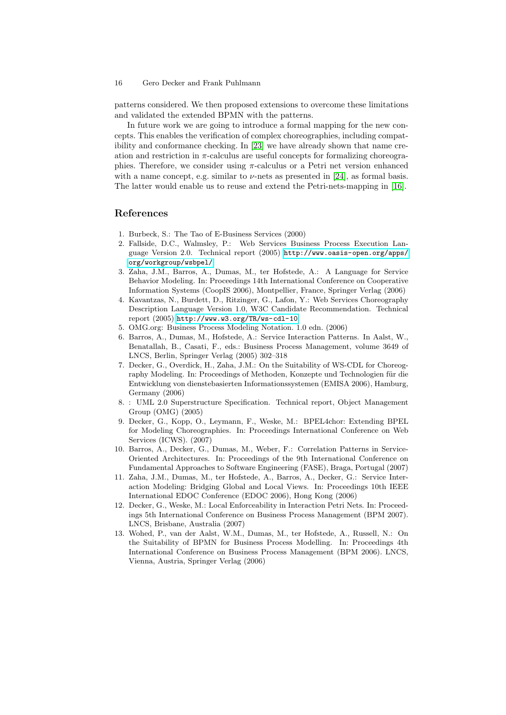patterns considered. We then proposed extensions to overcome these limitations and validated the extended BPMN with the patterns.

In future work we are going to introduce a formal mapping for the new concepts. This enables the verification of complex choreographies, including compatibility and conformance checking. In [\[23\]](#page-16-9) we have already shown that name creation and restriction in  $\pi$ -calculus are useful concepts for formalizing choreographies. Therefore, we consider using  $\pi$ -calculus or a Petri net version enhanced with a name concept, e.g. similar to  $\nu$ -nets as presented in [\[24\]](#page-16-10), as formal basis. The latter would enable us to reuse and extend the Petri-nets-mapping in [\[16\]](#page-16-2).

# References

- <span id="page-15-0"></span>1. Burbeck, S.: The Tao of E-Business Services (2000)
- <span id="page-15-1"></span>2. Fallside, D.C., Walmsley, P.: Web Services Business Process Execution Language Version 2.0. Technical report (2005) [http://www.oasis-open.org/apps/](http://www.oasis-open.org/apps/org/workgroup/wsbpel/) [org/workgroup/wsbpel/](http://www.oasis-open.org/apps/org/workgroup/wsbpel/).
- <span id="page-15-2"></span>3. Zaha, J.M., Barros, A., Dumas, M., ter Hofstede, A.: A Language for Service Behavior Modeling. In: Proceedings 14th International Conference on Cooperative Information Systems (CoopIS 2006), Montpellier, France, Springer Verlag (2006)
- <span id="page-15-3"></span>4. Kavantzas, N., Burdett, D., Ritzinger, G., Lafon, Y.: Web Services Choreography Description Language Version 1.0, W3C Candidate Recommendation. Technical report (2005) <http://www.w3.org/TR/ws-cdl-10>.
- <span id="page-15-4"></span>5. OMG.org: Business Process Modeling Notation. 1.0 edn. (2006)
- <span id="page-15-5"></span>6. Barros, A., Dumas, M., Hofstede, A.: Service Interaction Patterns. In Aalst, W., Benatallah, B., Casati, F., eds.: Business Process Management, volume 3649 of LNCS, Berlin, Springer Verlag (2005) 302–318
- <span id="page-15-6"></span>7. Decker, G., Overdick, H., Zaha, J.M.: On the Suitability of WS-CDL for Choreography Modeling. In: Proceedings of Methoden, Konzepte und Technologien für die Entwicklung von dienstebasierten Informationssystemen (EMISA 2006), Hamburg, Germany (2006)
- <span id="page-15-7"></span>8. : UML 2.0 Superstructure Specification. Technical report, Object Management Group (OMG) (2005)
- <span id="page-15-8"></span>9. Decker, G., Kopp, O., Leymann, F., Weske, M.: BPEL4chor: Extending BPEL for Modeling Choreographies. In: Proceedings International Conference on Web Services (ICWS). (2007)
- <span id="page-15-9"></span>10. Barros, A., Decker, G., Dumas, M., Weber, F.: Correlation Patterns in Service-Oriented Architectures. In: Proceedings of the 9th International Conference on Fundamental Approaches to Software Engineering (FASE), Braga, Portugal (2007)
- <span id="page-15-10"></span>11. Zaha, J.M., Dumas, M., ter Hofstede, A., Barros, A., Decker, G.: Service Interaction Modeling: Bridging Global and Local Views. In: Proceedings 10th IEEE International EDOC Conference (EDOC 2006), Hong Kong (2006)
- <span id="page-15-11"></span>12. Decker, G., Weske, M.: Local Enforceability in Interaction Petri Nets. In: Proceedings 5th International Conference on Business Process Management (BPM 2007). LNCS, Brisbane, Australia (2007)
- <span id="page-15-12"></span>13. Wohed, P., van der Aalst, W.M., Dumas, M., ter Hofstede, A., Russell, N.: On the Suitability of BPMN for Business Process Modelling. In: Proceedings 4th International Conference on Business Process Management (BPM 2006). LNCS, Vienna, Austria, Springer Verlag (2006)